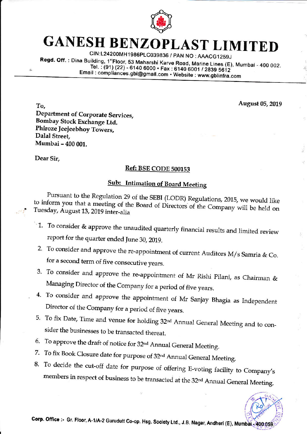

## **GANESH BENZOPLAST LIMITED**

CIN:L24200MH1986PLC039836 / PAN NO: AAACG1259J

Regd. Off.: Dina Building, 1"Floor, 53 Maharshi Karve Road, Marine Lines (E), Mumbai - 400 002. Tel.: (91) (22) - 6140 6000 · Fax: 6140 6001 / 2839 5612 Email: compliances.gbl@gmail.com • Website: www.gblinfra.com

August 05, 2019

To. Department of Corporate Services, Bombay Stock Exchange Ltd. Phiroze Jeejeebhoy Towers, Dalal Street, Mumbai - 400 001.

Dear Sir,

## Ref: BSE CODE 500153

## **Sub: Intimation of Board Meeting**

Pursuant to the Regulation 29 of the SEBI (LODR) Regulations, 2015, we would like to inform you that a meeting of the Board of Directors of the Company will be held on Tuesday, August 13, 2019 inter-alia

- $\sim$  1. To consider & approve the unaudited quarterly financial results and limited review report for the quarter ended June 30, 2019.
- 2. To consider and approve the re-appointment of current Auditors M/s Samria & Co. for a second term of five consecutive years.
- 3. To consider and approve the re-appointment of Mr Rishi Pilani, as Chairman & Managing Director of the Company for a period of five years.
- 4. To consider and approve the appointment of Mr Sanjay Bhagia as Independent Director of the Company for a period of five years.
- 5. To fix Date, Time and venue for holding 32nd Annual General Meeting and to consider the businesses to be transacted thereat.
- 6. To approve the draft of notice for 32<sup>nd</sup> Annual General Meeting.
- 7. To fix Book Closure date for purpose of 32nd Annual General Meeting.
- 8. To decide the cut-off date for purpose of offering E-voting facility to Company's members in respect of business to be transacted at the 32<sup>nd</sup> Annual General Meeting.